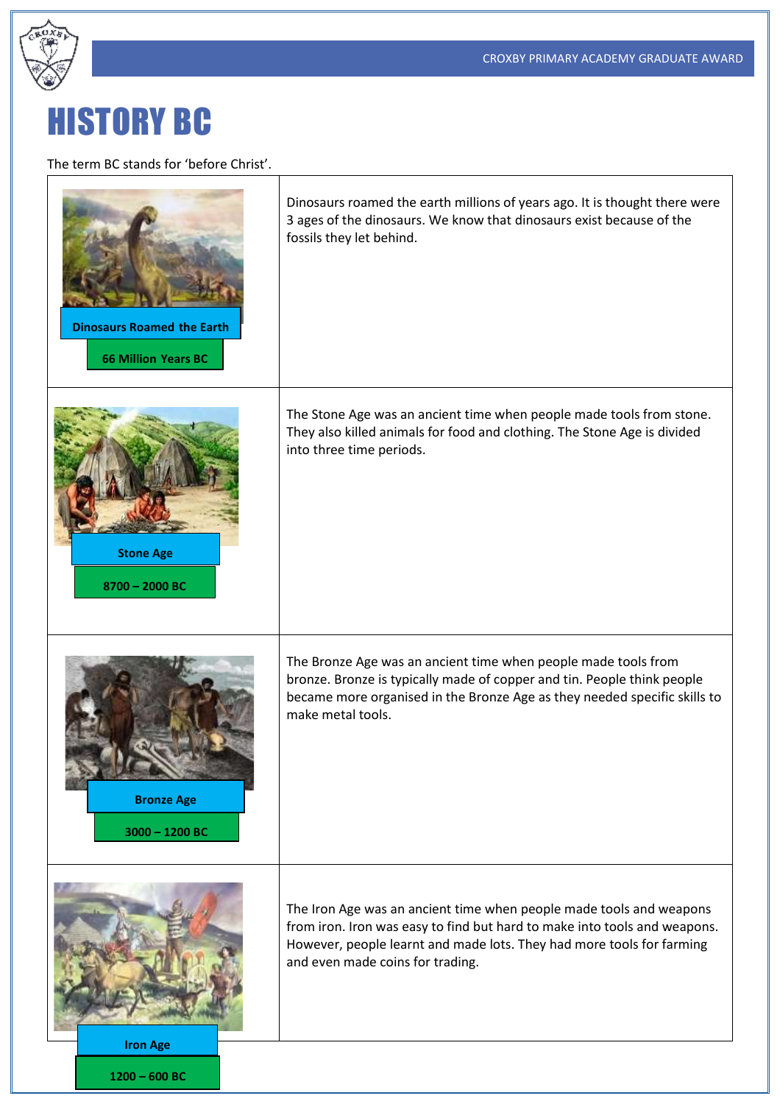

## HISTORY BC

The term BC stands for 'before Christ'.

**1200 – 600 BC**

| <b>Dinosaurs Roamed the Earth</b><br><b>66 Million Years BC</b> | Dinosaurs roamed the earth millions of years ago. It is thought there were<br>3 ages of the dinosaurs. We know that dinosaurs exist because of the<br>fossils they let behind.                                                                                |
|-----------------------------------------------------------------|---------------------------------------------------------------------------------------------------------------------------------------------------------------------------------------------------------------------------------------------------------------|
| <b>Stone Age</b><br>8700 - 2000 BC                              | The Stone Age was an ancient time when people made tools from stone.<br>They also killed animals for food and clothing. The Stone Age is divided<br>into three time periods.                                                                                  |
| <b>Bronze Age</b><br>$3000 - 1200$ BC                           | The Bronze Age was an ancient time when people made tools from<br>bronze. Bronze is typically made of copper and tin. People think people<br>became more organised in the Bronze Age as they needed specific skills to<br>make metal tools.                   |
| <b>Iron Age</b>                                                 | The Iron Age was an ancient time when people made tools and weapons<br>from iron. Iron was easy to find but hard to make into tools and weapons.<br>However, people learnt and made lots. They had more tools for farming<br>and even made coins for trading. |